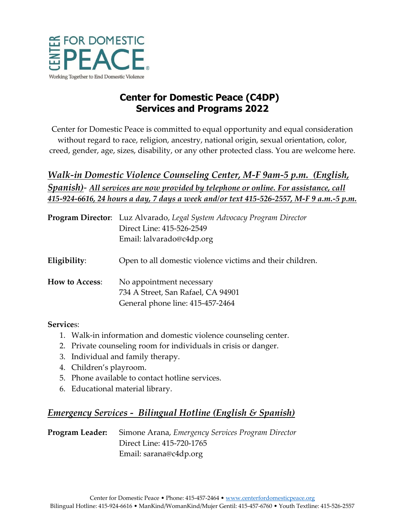

# **Center for Domestic Peace (C4DP) Services and Programs 2022**

Center for Domestic Peace is committed to equal opportunity and equal consideration without regard to race, religion, ancestry, national origin, sexual orientation, color, creed, gender, age, sizes, disability, or any other protected class. You are welcome here.

# *Walk-in Domestic Violence Counseling Center, M-F 9am-5 p.m. (English, Spanish)*- *All services are now provided by telephone or online. For assistance, call 415-924-6616, 24 hours a day, 7 days a week and/or text 415-526-2557, M-F 9 a.m.-5 p.m.*

|                       | Program Director: Luz Alvarado, Legal System Advocacy Program Director |
|-----------------------|------------------------------------------------------------------------|
|                       | Direct Line: 415-526-2549                                              |
|                       | Email: lalvarado@c4dp.org                                              |
| Eligibility:          | Open to all domestic violence victims and their children.              |
| <b>How to Access:</b> | No appointment necessary                                               |
|                       | 734 A Street, San Rafael, CA 94901                                     |
|                       | General phone line: 415-457-2464                                       |
|                       |                                                                        |

#### **Service**s:

- 1. Walk-in information and domestic violence counseling center.
- 2. Private counseling room for individuals in crisis or danger.
- 3. Individual and family therapy.
- 4. Children's playroom.
- 5. Phone available to contact hotline services.
- 6. Educational material library.

# *Emergency Services - Bilingual Hotline (English & Spanish)*

**Program Leader:** Simone Arana, *Emergency Services Program Director* Direct Line: 415-720-1765 Email: sarana@c4dp.org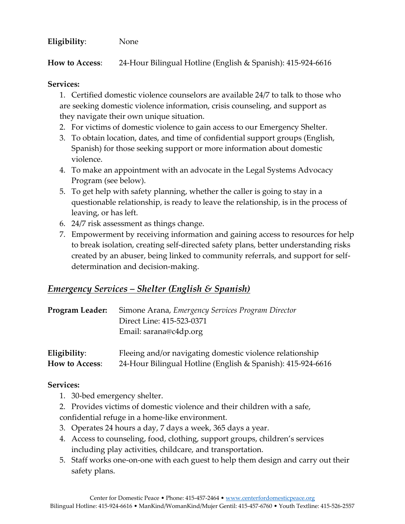#### **Eligibility**: None

**How to Access**: 24-Hour Bilingual Hotline (English & Spanish): 415-924-6616

#### **Services:**

1. Certified domestic violence counselors are available 24/7 to talk to those who are seeking domestic violence information, crisis counseling, and support as they navigate their own unique situation.

- 2. For victims of domestic violence to gain access to our Emergency Shelter.
- 3. To obtain location, dates, and time of confidential support groups (English, Spanish) for those seeking support or more information about domestic violence.
- 4. To make an appointment with an advocate in the Legal Systems Advocacy Program (see below).
- 5. To get help with safety planning, whether the caller is going to stay in a questionable relationship, is ready to leave the relationship, is in the process of leaving, or has left.
- 6. 24/7 risk assessment as things change.
- 7. Empowerment by receiving information and gaining access to resources for help to break isolation, creating self-directed safety plans, better understanding risks created by an abuser, being linked to community referrals, and support for selfdetermination and decision-making.

## *Emergency Services – Shelter (English & Spanish)*

| Program Leader: | Simone Arana, Emergency Services Program Director<br>Direct Line: 415-523-0371<br>Email: sarana@c4dp.org |
|-----------------|----------------------------------------------------------------------------------------------------------|
| Eligibility:    | Fleeing and/or navigating domestic violence relationship                                                 |
| How to Access:  | 24-Hour Bilingual Hotline (English & Spanish): 415-924-6616                                              |

#### **Services:**

- 1. 30-bed emergency shelter.
- 2. Provides victims of domestic violence and their children with a safe, confidential refuge in a home-like environment.
- 3. Operates 24 hours a day, 7 days a week, 365 days a year.
- 4. Access to counseling, food, clothing, support groups, children's services including play activities, childcare, and transportation.
- 5. Staff works one-on-one with each guest to help them design and carry out their safety plans.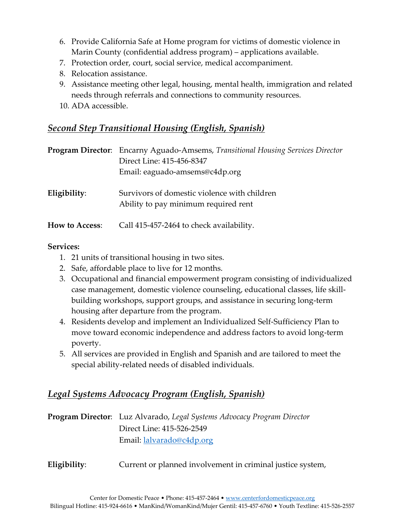- 6. Provide California Safe at Home program for victims of domestic violence in Marin County (confidential address program) – applications available.
- 7. Protection order, court, social service, medical accompaniment.
- 8. Relocation assistance.
- 9. Assistance meeting other legal, housing, mental health, immigration and related needs through referrals and connections to community resources.
- 10. ADA accessible.

## *Second Step Transitional Housing (English, Spanish)*

|                       | <b>Program Director:</b> Encarny Aguado-Amsems, Transitional Housing Services Director<br>Direct Line: 415-456-8347<br>Email: eaguado-amsems@c4dp.org |
|-----------------------|-------------------------------------------------------------------------------------------------------------------------------------------------------|
| Eligibility:          | Survivors of domestic violence with children<br>Ability to pay minimum required rent                                                                  |
| <b>How to Access:</b> | Call 415-457-2464 to check availability.                                                                                                              |

#### **Services:**

- 1. 21 units of transitional housing in two sites.
- 2. Safe, affordable place to live for 12 months.
- 3. Occupational and financial empowerment program consisting of individualized case management, domestic violence counseling, educational classes, life skillbuilding workshops, support groups, and assistance in securing long-term housing after departure from the program.
- 4. Residents develop and implement an Individualized Self-Sufficiency Plan to move toward economic independence and address factors to avoid long-term poverty.
- 5. All services are provided in English and Spanish and are tailored to meet the special ability-related needs of disabled individuals.

# *Legal Systems Advocacy Program (English, Spanish)*

**Program Director**: Luz Alvarado, *Legal Systems Advocacy Program Director* Direct Line: 415-526-2549 Email: [lalvarado@c4dp.org](mailto:lalvarado@c4dp.org)

**Eligibility**: Current or planned involvement in criminal justice system,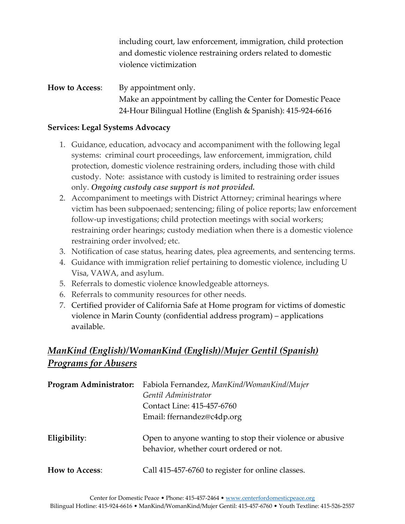including court, law enforcement, immigration, child protection and domestic violence restraining orders related to domestic violence victimization

**How to Access:** By appointment only. Make an appointment by calling the Center for Domestic Peace 24-Hour Bilingual Hotline (English & Spanish): 415-924-6616

#### **Services: Legal Systems Advocacy**

- 1. Guidance, education, advocacy and accompaniment with the following legal systems: criminal court proceedings, law enforcement, immigration, child protection, domestic violence restraining orders, including those with child custody. Note: assistance with custody is limited to restraining order issues only. *Ongoing custody case support is not provided.*
- 2. Accompaniment to meetings with District Attorney; criminal hearings where victim has been subpoenaed; sentencing; filing of police reports; law enforcement follow-up investigations; child protection meetings with social workers; restraining order hearings; custody mediation when there is a domestic violence restraining order involved; etc.
- 3. Notification of case status, hearing dates, plea agreements, and sentencing terms.
- 4. Guidance with immigration relief pertaining to domestic violence, including U Visa, VAWA, and asylum.
- 5. Referrals to domestic violence knowledgeable attorneys.
- 6. Referrals to community resources for other needs.
- 7. Certified provider of California Safe at Home program for victims of domestic violence in Marin County (confidential address program) – applications available.

# *ManKind (English)/WomanKind (English)/Mujer Gentil (Spanish) Programs for Abusers*

|                       | Program Administrator: Fabiola Fernandez, ManKind/WomanKind/Mujer                                   |
|-----------------------|-----------------------------------------------------------------------------------------------------|
|                       | Gentil Administrator                                                                                |
|                       | Contact Line: 415-457-6760                                                                          |
|                       | Email: ffernandez@c4dp.org                                                                          |
| Eligibility:          | Open to anyone wanting to stop their violence or abusive<br>behavior, whether court ordered or not. |
| <b>How to Access:</b> | Call 415-457-6760 to register for online classes.                                                   |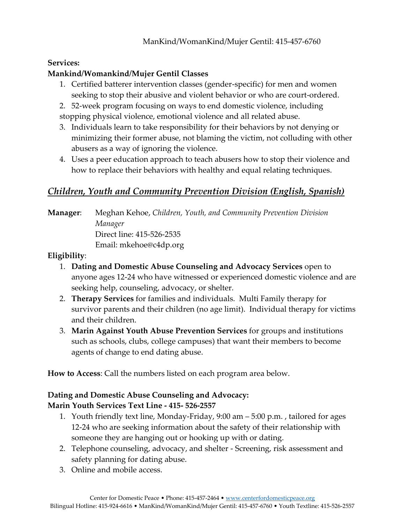### **Services:**

### **Mankind/Womankind/Mujer Gentil Classes**

- 1. Certified batterer intervention classes (gender-specific) for men and women seeking to stop their abusive and violent behavior or who are court-ordered.
- 2. 52-week program focusing on ways to end domestic violence, including stopping physical violence, emotional violence and all related abuse.
- 3. Individuals learn to take responsibility for their behaviors by not denying or minimizing their former abuse, not blaming the victim, not colluding with other abusers as a way of ignoring the violence.
- 4. Uses a peer education approach to teach abusers how to stop their violence and how to replace their behaviors with healthy and equal relating techniques.

## *Children, Youth and Community Prevention Division (English, Spanish)*

**Manager**: Meghan Kehoe, *Children, Youth, and Community Prevention Division Manager* Direct line: 415-526-2535 Email: mkehoe@c4dp.org

### **Eligibility**:

- 1. **Dating and Domestic Abuse Counseling and Advocacy Services** open to anyone ages 12-24 who have witnessed or experienced domestic violence and are seeking help, counseling, advocacy, or shelter.
- 2. **Therapy Services** for families and individuals. Multi Family therapy for survivor parents and their children (no age limit). Individual therapy for victims and their children.
- 3. **Marin Against Youth Abuse Prevention Services** for groups and institutions such as schools, clubs, college campuses) that want their members to become agents of change to end dating abuse.

**How to Access**: Call the numbers listed on each program area below.

### **Dating and Domestic Abuse Counseling and Advocacy:**

### **Marin Youth Services Text Line - 415- 526-2557**

- 1. Youth friendly text line, Monday-Friday, 9:00 am 5:00 p.m. , tailored for ages 12-24 who are seeking information about the safety of their relationship with someone they are hanging out or hooking up with or dating.
- 2. Telephone counseling, advocacy, and shelter Screening, risk assessment and safety planning for dating abuse.
- 3. Online and mobile access.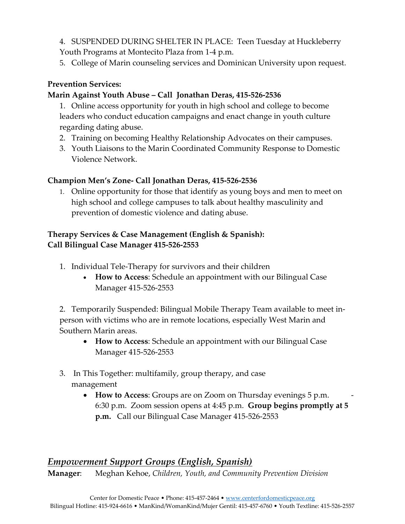4. SUSPENDED DURING SHELTER IN PLACE: Teen Tuesday at Huckleberry Youth Programs at Montecito Plaza from 1-4 p.m.

5. College of Marin counseling services and Dominican University upon request.

## **Prevention Services:**

### **Marin Against Youth Abuse – Call Jonathan Deras, 415-526-2536**

1. Online access opportunity for youth in high school and college to become leaders who conduct education campaigns and enact change in youth culture regarding dating abuse.

- 2. Training on becoming Healthy Relationship Advocates on their campuses.
- 3. Youth Liaisons to the Marin Coordinated Community Response to Domestic Violence Network.

### **Champion Men's Zone- Call Jonathan Deras, 415-526-2536**

1. Online opportunity for those that identify as young boys and men to meet on high school and college campuses to talk about healthy masculinity and prevention of domestic violence and dating abuse.

## **Therapy Services & Case Management (English & Spanish): Call Bilingual Case Manager 415-526-2553**

- 1. Individual Tele-Therapy for survivors and their children
	- **How to Access**: Schedule an appointment with our Bilingual Case Manager 415-526-2553

2. Temporarily Suspended: Bilingual Mobile Therapy Team available to meet inperson with victims who are in remote locations, especially West Marin and Southern Marin areas.

- **How to Access**: Schedule an appointment with our Bilingual Case Manager 415-526-2553
- 3. In This Together: multifamily, group therapy, and case management
	- How to Access: Groups are on Zoom on Thursday evenings 5 p.m. 6:30 p.m. Zoom session opens at 4:45 p.m. **Group begins promptly at 5 p.m.** Call our Bilingual Case Manager 415-526-2553

## *Empowerment Support Groups (English, Spanish)*

**Manager**: Meghan Kehoe, *Children, Youth, and Community Prevention Division*